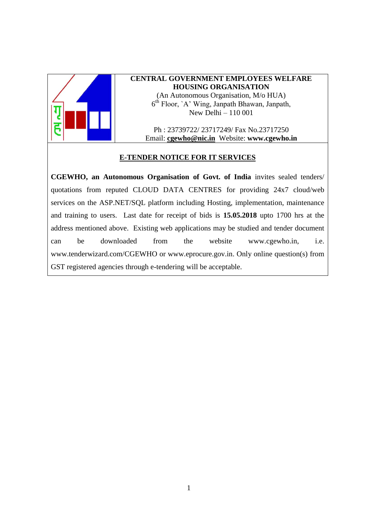

# **CENTRAL GOVERNMENT EMPLOYEES WELFARE HOUSING ORGANISATION**

(An Autonomous Organisation, M/o HUA) 6 th Floor, `A' Wing, Janpath Bhawan, Janpath, New Delhi – 110 001

Ph : 23739722/ 23717249/ Fax No.23717250 Email: **[cgewho@nic.in](mailto:cgewho@nic.in)** Website: **www.cgewho.in**

### **E-TENDER NOTICE FOR IT SERVICES**

**CGEWHO, an Autonomous Organisation of Govt. of India** invites sealed tenders/ quotations from reputed CLOUD DATA CENTRES for providing 24x7 cloud/web services on the ASP.NET/SQL platform including Hosting, implementation, maintenance and training to users. Last date for receipt of bids is **15.05.2018** upto 1700 hrs at the address mentioned above. Existing web applications may be studied and tender document can be downloaded from the website [www.cgewho.in,](http://www.cgewho.in/) i.e. [www.tenderwizard.com/CGEWHO](http://www.tenderwizard.com/CGEWHO) or www.eprocure.gov.in. Only online question(s) from GST registered agencies through e-tendering will be acceptable.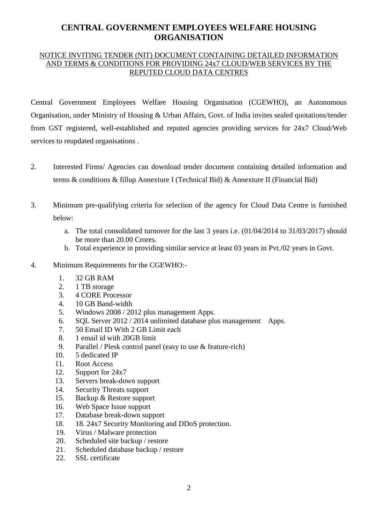# **CENTRAL GOVERNMENT EMPLOYEES WELFARE HOUSING ORGANISATION**

### NOTICE INVITING TENDER (NIT) DOCUMENT CONTAINING DETAILED INFORMATION AND TERMS & CONDITIONS FOR PROVIDING 24x7 CLOUD/WEB SERVICES BY THE REPUTED CLOUD DATA CENTRES

Central Government Employees Welfare Housing Organisation (CGEWHO), an Autonomous Organisation, under Ministry of Housing & Urban Affairs, Govt. of India invites sealed quotations/tender from GST registered, well-established and reputed agencies providing services for 24x7 Cloud/Web services to reupdated organisations .

- 2. Interested Firms/ Agencies can download tender document containing detailed information and terms & conditions & fillup Annexture I (Technical Bid) & Annexture II (Financial Bid)
- 3. Minimum pre-qualifying criteria for selection of the agency for Cloud Data Centre is furnished below:

a. The total consolidated turnover for the last 3 years i.e. (01/04/2014 to 31/03/2017) should

- be more than 20.00 Crores. b. Total experience in providing similar service at least 03 years in Pvt./02 years in Govt.
- 4. Minimum Requirements for the CGEWHO:-
	- 1. 32 GB RAM
	- 2. 1 TB storage
	- 3. 4 CORE Processor
	- 4. 10 GB Band-width
	- 5. Windows 2008 / 2012 plus management Apps.
	- 6. SQL Server 2012 / 2014 unlimited database plus management Apps.
	- 7. 50 Email ID With 2 GB Limit each
	- 8. 1 email id with 20GB limit
	- 9. Parallel / Plesk control panel (easy to use & feature-rich)
	- 10. 5 dedicated IP
	- 11. Root Access
	- 12. Support for 24x7
	- 13. Servers break-down support
	- 14. Security Threats support
	- 15. Backup & Restore support
	- 16. Web Space Issue support
	- 17. Database break-down support
	- 18. 18. 24x7 Security Monitoring and DDoS protection.
	- 19. Virus / Malware protection
	- 20. Scheduled site backup / restore
	- 21. Scheduled database backup / restore
	- 22. SSL certificate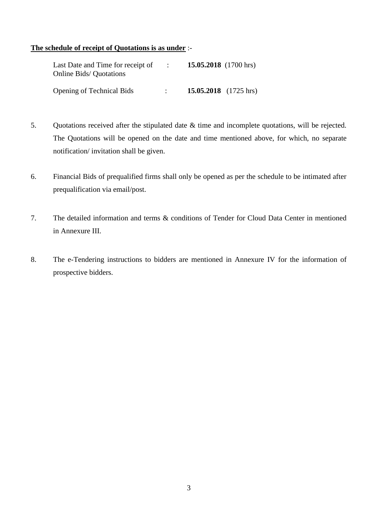#### **The schedule of receipt of Quotations is as under** :-

| Last Date and Time for receipt of<br><b>Online Bids/ Quotations</b> | $\sim 1000$ | 15.05.2018 $(1700 \text{ hrs})$ |
|---------------------------------------------------------------------|-------------|---------------------------------|
| <b>Opening of Technical Bids</b>                                    |             | 15.05.2018 $(1725 \text{ hrs})$ |

- 5. Quotations received after the stipulated date & time and incomplete quotations, will be rejected. The Quotations will be opened on the date and time mentioned above, for which, no separate notification/ invitation shall be given.
- 6. Financial Bids of prequalified firms shall only be opened as per the schedule to be intimated after prequalification via email/post.
- 7. The detailed information and terms & conditions of Tender for Cloud Data Center in mentioned in Annexure III.
- 8. The e-Tendering instructions to bidders are mentioned in Annexure IV for the information of prospective bidders.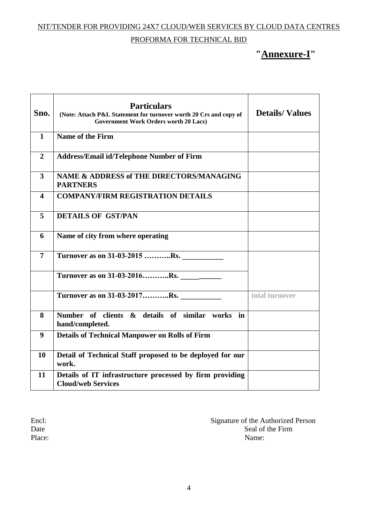NIT/TENDER FOR PROVIDING 24X7 CLOUD/WEB SERVICES BY CLOUD DATA CENTRES

## PROFORMA FOR TECHNICAL BID

# **"Annexure-I"**

| Sno.                    | <b>Particulars</b><br>(Note: Attach P&L Statement for turnover worth 20 Crs and copy of<br><b>Government Work Orders worth 20 Lacs)</b> | <b>Details/Values</b> |
|-------------------------|-----------------------------------------------------------------------------------------------------------------------------------------|-----------------------|
| $\mathbf{1}$            | Name of the Firm                                                                                                                        |                       |
| $\overline{2}$          | <b>Address/Email id/Telephone Number of Firm</b>                                                                                        |                       |
| $\overline{3}$          | NAME & ADDRESS of THE DIRECTORS/MANAGING<br><b>PARTNERS</b>                                                                             |                       |
| $\overline{\mathbf{4}}$ | <b>COMPANY/FIRM REGISTRATION DETAILS</b>                                                                                                |                       |
| 5                       | <b>DETAILS OF GST/PAN</b>                                                                                                               |                       |
| 6                       | Name of city from where operating                                                                                                       |                       |
| $\overline{7}$          | Turnover as on 31-03-2015 Rs.                                                                                                           |                       |
|                         | Turnover as on 31-03-2016Rs.                                                                                                            |                       |
|                         | Turnover as on 31-03-2017Rs.                                                                                                            | total turnover        |
| 8                       | Number of clients & details of similar works in<br>hand/completed.                                                                      |                       |
| 9                       | <b>Details of Technical Manpower on Rolls of Firm</b>                                                                                   |                       |
| 10                      | Detail of Technical Staff proposed to be deployed for our<br>work.                                                                      |                       |
| 11                      | Details of IT infrastructure processed by firm providing<br><b>Cloud/web Services</b>                                                   |                       |

Encl:<br>
Signature of the Authorized Person<br>
Date<br>
Seal of the Firm Seal of the Firm Place: Name: Name: Name: Name: Name: Name: Name: Name: Name: Name: Name: Name: Name: Name: Name: Name: Name: Name: Name: Name: Name: Name: Name: Name: Name: Name: Name: Name: Name: Name: Name: Name: Name: Name: Name: Name: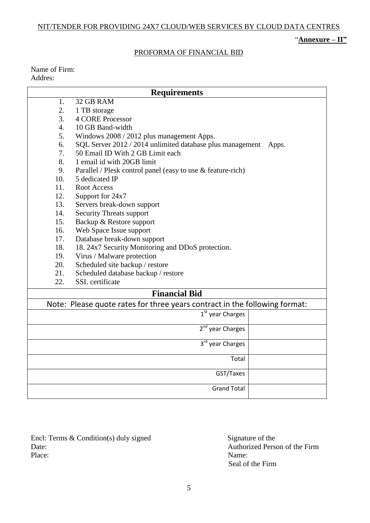### NIT/TENDER FOR PROVIDING 24X7 CLOUD/WEB SERVICES BY CLOUD DATA CENTRES

## "**Annexure – II"**

### PROFORMA OF FINANCIAL BID

Name of Firm: Addres:

|                                                                            | <b>Requirements</b>                                                |  |  |  |
|----------------------------------------------------------------------------|--------------------------------------------------------------------|--|--|--|
| 1.                                                                         | 32 GB RAM                                                          |  |  |  |
| 2.                                                                         | 1 TB storage                                                       |  |  |  |
| 3.                                                                         | <b>4 CORE Processor</b>                                            |  |  |  |
| 4.                                                                         | 10 GB Band-width                                                   |  |  |  |
| 5.                                                                         | Windows 2008 / 2012 plus management Apps.                          |  |  |  |
| 6.                                                                         | SQL Server 2012 / 2014 unlimited database plus management<br>Apps. |  |  |  |
| 7.                                                                         | 50 Email ID With 2 GB Limit each                                   |  |  |  |
| 8.                                                                         | 1 email id with 20GB limit                                         |  |  |  |
| 9.                                                                         | Parallel / Plesk control panel (easy to use $&$ feature-rich)      |  |  |  |
| 10.                                                                        | 5 dedicated IP                                                     |  |  |  |
| 11.                                                                        | <b>Root Access</b>                                                 |  |  |  |
| 12.                                                                        | Support for 24x7                                                   |  |  |  |
| 13.                                                                        | Servers break-down support                                         |  |  |  |
| 14.                                                                        | <b>Security Threats support</b>                                    |  |  |  |
| 15.                                                                        | Backup & Restore support                                           |  |  |  |
| 16.                                                                        | Web Space Issue support                                            |  |  |  |
| 17.                                                                        | Database break-down support                                        |  |  |  |
| 18.                                                                        | 18. 24x7 Security Monitoring and DDoS protection.                  |  |  |  |
| 19.                                                                        | Virus / Malware protection                                         |  |  |  |
| 20.                                                                        | Scheduled site backup / restore                                    |  |  |  |
| 21.                                                                        | Scheduled database backup / restore                                |  |  |  |
| 22.                                                                        | SSL certificate                                                    |  |  |  |
|                                                                            | <b>Financial Bid</b>                                               |  |  |  |
| Note: Please quote rates for three years contract in the following format: |                                                                    |  |  |  |
|                                                                            | 1 <sup>St</sup> year Charges                                       |  |  |  |
|                                                                            | 2 <sup>nd</sup> year Charges                                       |  |  |  |
|                                                                            |                                                                    |  |  |  |
|                                                                            | 3rd year Charges                                                   |  |  |  |
|                                                                            | Total                                                              |  |  |  |
|                                                                            | GST/Taxes                                                          |  |  |  |
|                                                                            | <b>Grand Total</b>                                                 |  |  |  |

Encl: Terms & Condition(s) duly signed Signature of the Signature of the Authorized Perse Date:<br>
Place: Authorized Person of the Firm<br>
Place: Name: Place: Name:

Seal of the Firm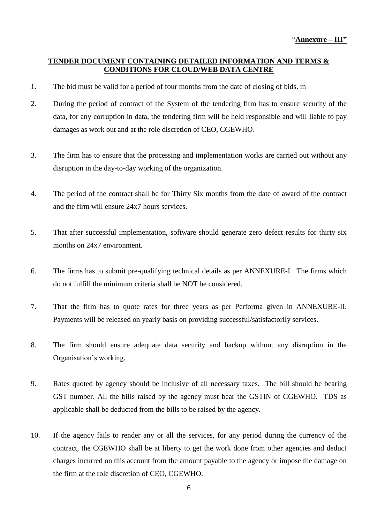### **TENDER DOCUMENT CONTAINING DETAILED INFORMATION AND TERMS & CONDITIONS FOR CLOUD/WEB DATA CENTRE**

- 1. The bid must be valid for a period of four months from the date of closing of bids. m
- 2. During the period of contract of the System of the tendering firm has to ensure security of the data, for any corruption in data, the tendering firm will be held responsible and will liable to pay damages as work out and at the role discretion of CEO, CGEWHO.
- 3. The firm has to ensure that the processing and implementation works are carried out without any disruption in the day-to-day working of the organization.
- 4. The period of the contract shall be for Thirty Six months from the date of award of the contract and the firm will ensure 24x7 hours services.
- 5. That after successful implementation, software should generate zero defect results for thirty six months on 24x7 environment.
- 6. The firms has to submit pre-qualifying technical details as per ANNEXURE-I. The firms which do not fulfill the minimum criteria shall be NOT be considered.
- 7. That the firm has to quote rates for three years as per Performa given in ANNEXURE-II. Payments will be released on yearly basis on providing successful/satisfactorily services.
- 8. The firm should ensure adequate data security and backup without any disruption in the Organisation's working.
- 9. Rates quoted by agency should be inclusive of all necessary taxes. The bill should be bearing GST number. All the bills raised by the agency must bear the GSTIN of CGEWHO. TDS as applicable shall be deducted from the bills to be raised by the agency.
- 10. If the agency fails to render any or all the services, for any period during the currency of the contract, the CGEWHO shall be at liberty to get the work done from other agencies and deduct charges incurred on this account from the amount payable to the agency or impose the damage on the firm at the role discretion of CEO, CGEWHO.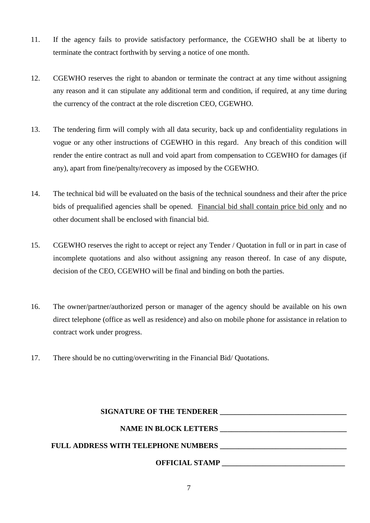- 11. If the agency fails to provide satisfactory performance, the CGEWHO shall be at liberty to terminate the contract forthwith by serving a notice of one month.
- 12. CGEWHO reserves the right to abandon or terminate the contract at any time without assigning any reason and it can stipulate any additional term and condition, if required, at any time during the currency of the contract at the role discretion CEO, CGEWHO.
- 13. The tendering firm will comply with all data security, back up and confidentiality regulations in vogue or any other instructions of CGEWHO in this regard. Any breach of this condition will render the entire contract as null and void apart from compensation to CGEWHO for damages (if any), apart from fine/penalty/recovery as imposed by the CGEWHO.
- 14. The technical bid will be evaluated on the basis of the technical soundness and their after the price bids of prequalified agencies shall be opened. Financial bid shall contain price bid only and no other document shall be enclosed with financial bid.
- 15. CGEWHO reserves the right to accept or reject any Tender / Quotation in full or in part in case of incomplete quotations and also without assigning any reason thereof. In case of any dispute, decision of the CEO, CGEWHO will be final and binding on both the parties.
- 16. The owner/partner/authorized person or manager of the agency should be available on his own direct telephone (office as well as residence) and also on mobile phone for assistance in relation to contract work under progress.
- 17. There should be no cutting/overwriting in the Financial Bid/ Quotations.

| <b>SIGNATURE OF THE TENDERER</b>           |
|--------------------------------------------|
| <b>NAME IN BLOCK LETTERS</b>               |
| <b>FULL ADDRESS WITH TELEPHONE NUMBERS</b> |
| <b>OFFICIAL STAMP</b>                      |